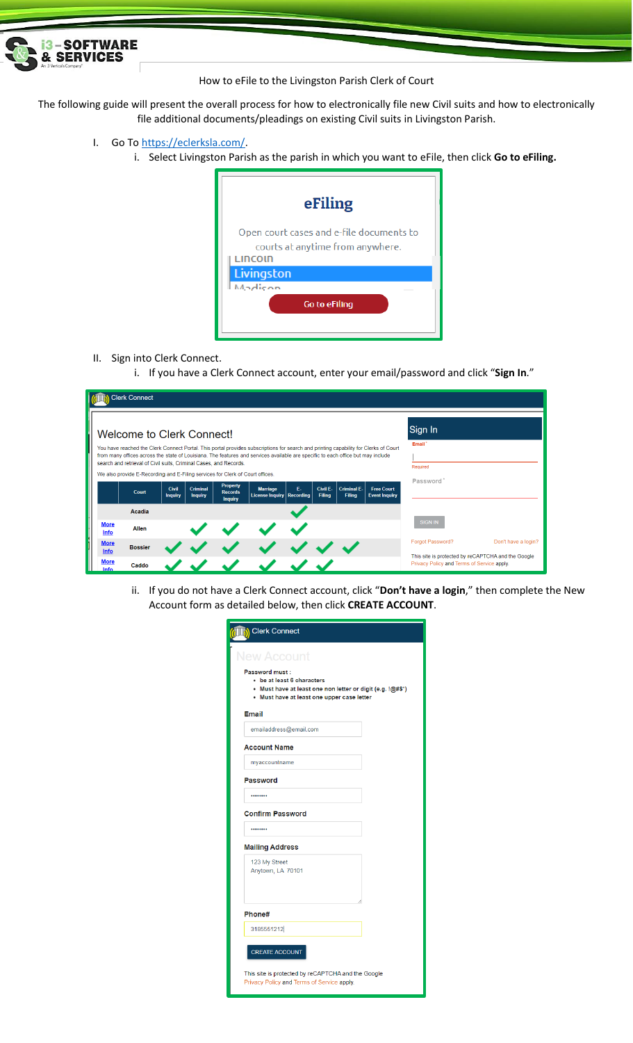

## How to eFile to the Livingston Parish Clerk of Court

The following guide will present the overall process for how to electronically file new Civil suits and how to electronically file additional documents/pleadings on existing Civil suits in Livingston Parish.

- I. Go To [https://eclerksla.com/.](https://eclerksla.com/)
	- i. Select Livingston Parish as the parish in which you want to eFile, then click **Go to eFiling.**

| eFiling                                                                                 |
|-----------------------------------------------------------------------------------------|
| Open court cases and e-file documents to<br>courts at anytime from anywhere.<br>LINCOIN |
| Livingston                                                                              |
| $M_2$ dicon                                                                             |
| <b>Go to eFiling</b>                                                                    |

- II. Sign into Clerk Connect.
	- i. If you have a Clerk Connect account, enter your email/password and click "**Sign In**."

|                                            | <b>Clerk Connect</b>                                                                                                                                                                                                                                                                                                                                                       |                         |                            |                                                     |                                           |                        |                           |                              |                                           |                                                                                                                      |                     |
|--------------------------------------------|----------------------------------------------------------------------------------------------------------------------------------------------------------------------------------------------------------------------------------------------------------------------------------------------------------------------------------------------------------------------------|-------------------------|----------------------------|-----------------------------------------------------|-------------------------------------------|------------------------|---------------------------|------------------------------|-------------------------------------------|----------------------------------------------------------------------------------------------------------------------|---------------------|
|                                            | Welcome to Clerk Connect!<br>You have reached the Clerk Connect Portal. This portal provides subscriptions for search and printing capability for Clerks of Court<br>from many offices across the state of Louisiana. The features and services available are specific to each office but may include<br>search and retrieval of Civil suits, Criminal Cases, and Records. |                         |                            |                                                     |                                           |                        |                           |                              |                                           | Sign In<br>Email'                                                                                                    |                     |
|                                            | We also provide E-Recording and E-Filing services for Clerk of Court offices.<br>Court                                                                                                                                                                                                                                                                                     | Civil<br><b>Inquiry</b> | Criminal<br><b>Inquiry</b> | <b>Property</b><br><b>Records</b><br><b>Inquiry</b> | <b>Marriage</b><br><b>License Inquiry</b> | Е.<br><b>Recording</b> | Civil E-<br><b>Filing</b> | <b>Criminal E-</b><br>Filing | <b>Free Court</b><br><b>Event Inquiry</b> | Required<br>Password'                                                                                                |                     |
| <b>More</b><br>Info                        | Acadia<br><b>Allen</b>                                                                                                                                                                                                                                                                                                                                                     |                         |                            |                                                     |                                           |                        |                           |                              |                                           | <b>SIGN IN</b>                                                                                                       |                     |
| <b>More</b><br>Info<br><b>More</b><br>Info | <b>Bossier</b><br>Caddo                                                                                                                                                                                                                                                                                                                                                    |                         |                            |                                                     |                                           |                        |                           |                              |                                           | Forgot Password?<br>This site is protected by reCAPTCHA and the Google<br>Privacy Policy and Terms of Service apply. | Don't have a login? |

ii. If you do not have a Clerk Connect account, click "**Don't have a login**," then complete the New Account form as detailed below, then click **CREATE ACCOUNT**.

| <b>S</b> Clerk Connect             |                                                                                                                                        |  |
|------------------------------------|----------------------------------------------------------------------------------------------------------------------------------------|--|
| <b>New Account</b>                 |                                                                                                                                        |  |
| <b>Password must:</b>              | • be at least 6 characters<br>• Must have at least one non letter or digit (e.g. !@#\$*)<br>• Must have at least one upper case letter |  |
| <b>Email</b>                       |                                                                                                                                        |  |
|                                    | emailaddress@email.com                                                                                                                 |  |
| <b>Account Name</b>                |                                                                                                                                        |  |
| myaccountname                      |                                                                                                                                        |  |
| Password                           |                                                                                                                                        |  |
|                                    |                                                                                                                                        |  |
| <b>Confirm Password</b>            |                                                                                                                                        |  |
|                                    |                                                                                                                                        |  |
| <b>Mailing Address</b>             |                                                                                                                                        |  |
| 123 My Street<br>Anytown, LA 70101 |                                                                                                                                        |  |
| Phone#                             |                                                                                                                                        |  |
| 3185551212                         |                                                                                                                                        |  |
| <b>CREATE ACCOUNT</b>              |                                                                                                                                        |  |
|                                    | This site is protected by reCAPTCHA and the Google<br>Privacy Policy and Terms of Service apply.                                       |  |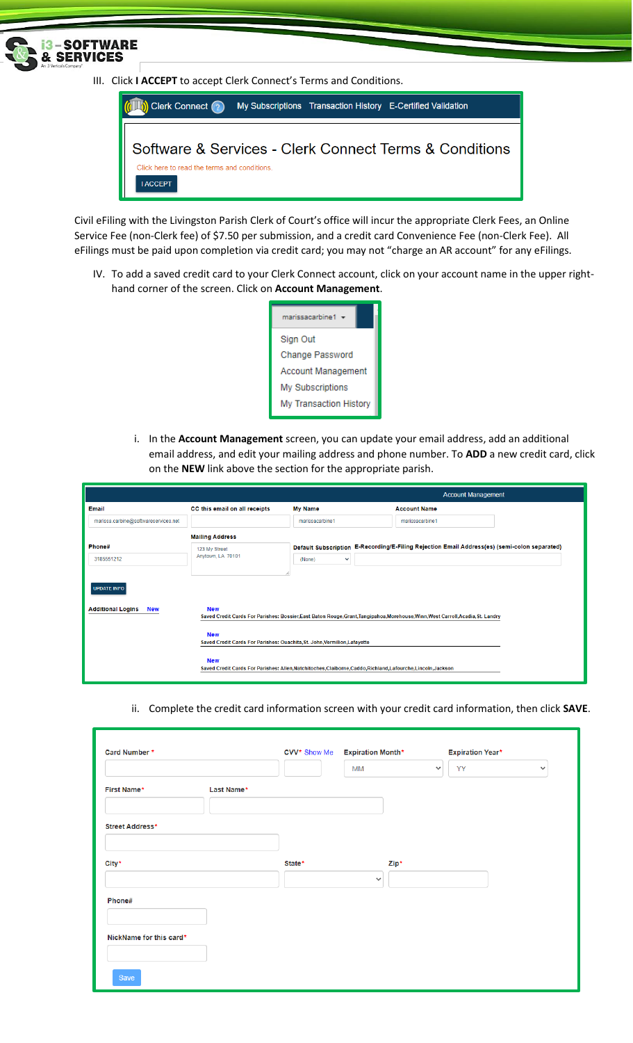

**I ACCEPT** 

Civil eFiling with the Livingston Parish Clerk of Court's office will incur the appropriate Clerk Fees, an Online Service Fee (non-Clerk fee) of \$7.50 per submission, and a credit card Convenience Fee (non-Clerk Fee). All eFilings must be paid upon completion via credit card; you may not "charge an AR account" for any eFilings.

IV. To add a saved credit card to your Clerk Connect account, click on your account name in the upper righthand corner of the screen. Click on **Account Management**.

| marissacarbine1           |
|---------------------------|
| Sign Out                  |
| <b>Change Password</b>    |
| <b>Account Management</b> |
| My Subscriptions          |
| My Transaction History    |

i. In the **Account Management** screen, you can update your email address, add an additional email address, and edit your mailing address and phone number. To **ADD** a new credit card, click on the **NEW** link above the section for the appropriate parish.

|                                        |                                                                                                                             |                        | <b>Account Management</b>                                                                                                        |  |
|----------------------------------------|-----------------------------------------------------------------------------------------------------------------------------|------------------------|----------------------------------------------------------------------------------------------------------------------------------|--|
| Email                                  | CC this email on all receipts                                                                                               | <b>My Name</b>         | <b>Account Name</b>                                                                                                              |  |
| marissa.carbine@softwareservices.net   |                                                                                                                             | marissacarbine1        | marissacarbine1                                                                                                                  |  |
|                                        | <b>Mailing Address</b>                                                                                                      |                        |                                                                                                                                  |  |
| Phone#                                 | 123 My Street                                                                                                               |                        | Default Subscription E-Recording/E-Filing Rejection Email Address(es) (semi-colon separated)                                     |  |
| 3185551212                             | Anytown, LA 70101                                                                                                           | (None)<br>$\checkmark$ |                                                                                                                                  |  |
|                                        |                                                                                                                             |                        |                                                                                                                                  |  |
| <b>UPDATE INFO</b>                     |                                                                                                                             |                        |                                                                                                                                  |  |
| <b>Additional Logins</b><br><b>New</b> | <b>New</b>                                                                                                                  |                        | Saved Credit Cards For Parishes: Bossier, East Baton Rouge, Grant, Tangipahoa, Morehouse, Winn, West Carroll, Acadia, St. Landry |  |
|                                        | <b>New</b><br>Saved Credit Cards For Parishes: Ouachita, St. John, Vermilion, Lafayette                                     |                        |                                                                                                                                  |  |
|                                        | <b>New</b><br>Saved Credit Cards For Parishes: Allen, Natchitoches, Claiborne, Caddo, Richland, Lafourche, Lincoln, Jackson |                        |                                                                                                                                  |  |

ii. Complete the credit card information screen with your credit card information, then click **SAVE**.

| Card Number *           | CVV* Show Me |        | <b>Expiration Month*</b> |              | <b>Expiration Year*</b> |              |
|-------------------------|--------------|--------|--------------------------|--------------|-------------------------|--------------|
|                         |              |        | <b>MM</b>                | $\checkmark$ | <b>YY</b>               | $\checkmark$ |
| First Name*             | Last Name*   |        |                          |              |                         |              |
| Street Address*         |              |        |                          |              |                         |              |
| City*                   |              | State* |                          |              |                         |              |
|                         |              |        | $\checkmark$             | Zip*         |                         |              |
| Phone#                  |              |        |                          |              |                         |              |
|                         |              |        |                          |              |                         |              |
| NickName for this card* |              |        |                          |              |                         |              |
| Save                    |              |        |                          |              |                         |              |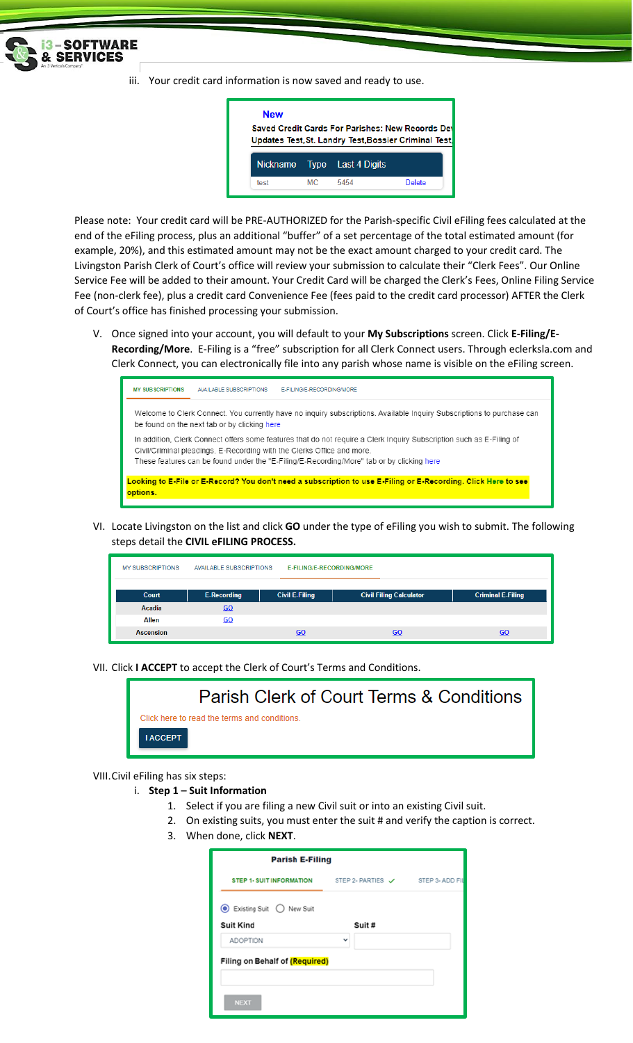

iii. Your credit card information is now saved and ready to use.



Please note: Your credit card will be PRE-AUTHORIZED for the Parish-specific Civil eFiling fees calculated at the end of the eFiling process, plus an additional "buffer" of a set percentage of the total estimated amount (for example, 20%), and this estimated amount may not be the exact amount charged to your credit card. The Livingston Parish Clerk of Court's office will review your submission to calculate their "Clerk Fees". Our Online Service Fee will be added to their amount. Your Credit Card will be charged the Clerk's Fees, Online Filing Service Fee (non-clerk fee), plus a credit card Convenience Fee (fees paid to the credit card processor) AFTER the Clerk of Court's office has finished processing your submission.

V. Once signed into your account, you will default to your **My Subscriptions** screen. Click **E-Filing/E-Recording/More**. E-Filing is a "free" subscription for all Clerk Connect users. Through eclerksla.com and Clerk Connect, you can electronically file into any parish whose name is visible on the eFiling screen.



VI. Locate Livingston on the list and click **GO** under the type of eFiling you wish to submit. The following steps detail the **CIVIL eFILING PROCESS.**

| <b>MY SUBSCRIPTIONS</b> | <b>AVAILABLE SUBSCRIPTIONS</b> | E-FILING/E-RECORDING/MORE |                                |                          |
|-------------------------|--------------------------------|---------------------------|--------------------------------|--------------------------|
| <b>Court</b>            | <b>E-Recording</b>             | <b>Civil E-Filing</b>     | <b>Civil Filing Calculator</b> | <b>Criminal E-Filing</b> |
| Acadia                  | 60                             |                           |                                |                          |
| <b>Allen</b>            | 60                             |                           |                                |                          |
| <b>Ascension</b>        |                                | 60                        | GO                             | GO                       |

VII. Click **I ACCEPT** to accept the Clerk of Court's Terms and Conditions.



## VIII.Civil eFiling has six steps:

- i. **Step 1 – Suit Information**
	- 1. Select if you are filing a new Civil suit or into an existing Civil suit.
	- 2. On existing suits, you must enter the suit # and verify the caption is correct.
	- 3. When done, click **NEXT**.

|                                                            | <b>Parish E-Filing</b>   |  |
|------------------------------------------------------------|--------------------------|--|
| STEP 1- SUIT INFORMATION STEP 2- PARTIES V STEP 3- ADD FIL |                          |  |
| <b>●</b> Existing Suit ● New Suit                          |                          |  |
| <b>Suit Kind</b>                                           | Suit #                   |  |
| <b>ADOPTION</b>                                            | $\overline{\phantom{a}}$ |  |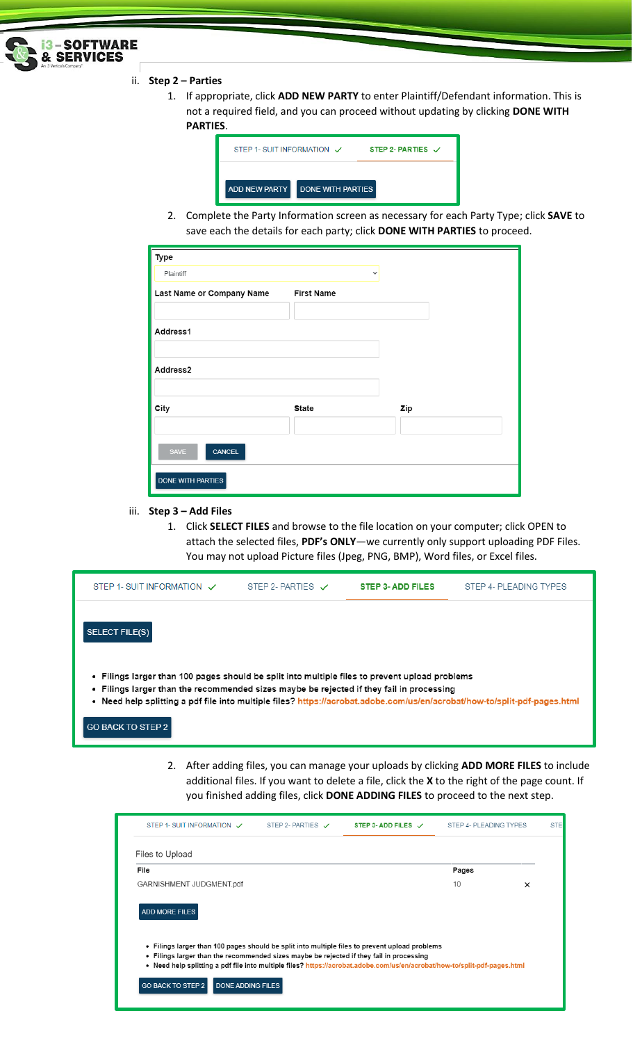

ii. **Step 2 – Parties**

1. If appropriate, click **ADD NEW PARTY** to enter Plaintiff/Defendant information. This is not a required field, and you can proceed without updating by clicking **DONE WITH PARTIES**.

| LILJ. |                            |                          |                              |
|-------|----------------------------|--------------------------|------------------------------|
|       | STEP 1- SUIT INFORMATION V |                          | STEP 2- PARTIES $\checkmark$ |
|       | <b>ADD NEW PARTY</b>       | <b>DONE WITH PARTIES</b> |                              |

2. Complete the Party Information screen as necessary for each Party Type; click **SAVE** to save each the details for each party; click **DONE WITH PARTIES** to proceed.

| Type                      |                   |     |
|---------------------------|-------------------|-----|
| Plaintiff                 | $\checkmark$      |     |
| Last Name or Company Name | <b>First Name</b> |     |
|                           |                   |     |
| Address1                  |                   |     |
|                           |                   |     |
| Address2                  |                   |     |
|                           |                   |     |
| City                      | <b>State</b>      | Zip |
|                           |                   |     |
| SAVE<br><b>CANCEL</b>     |                   |     |
| <b>DONE WITH PARTIES</b>  |                   |     |

- iii. **Step 3 – Add Files**
	- 1. Click **SELECT FILES** and browse to the file location on your computer; click OPEN to attach the selected files, **PDF's ONLY**—we currently only support uploading PDF Files. You may not upload Picture files (Jpeg, PNG, BMP), Word files, or Excel files.

| STEP 1- SUIT INFORMATION V                                                                                                                                                                                                                                                                                                                     | STEP 2- PARTIES $\vee$ | STEP 3- ADD FILES | STEP 4- PLEADING TYPES |  |  |  |
|------------------------------------------------------------------------------------------------------------------------------------------------------------------------------------------------------------------------------------------------------------------------------------------------------------------------------------------------|------------------------|-------------------|------------------------|--|--|--|
| <b>SELECT FILE(S)</b>                                                                                                                                                                                                                                                                                                                          |                        |                   |                        |  |  |  |
| . Filings larger than 100 pages should be split into multiple files to prevent upload problems<br>• Filings larger than the recommended sizes maybe be rejected if they fail in processing<br>. Need help splitting a pdf file into multiple files? https://acrobat.adobe.com/us/en/acrobat/how-to/split-pdf-pages.html<br>I GO BACK TO STEP 2 |                        |                   |                        |  |  |  |

2. After adding files, you can manage your uploads by clicking **ADD MORE FILES** to include additional files. If you want to delete a file, click the **X** to the right of the page count. If you finished adding files, click **DONE ADDING FILES** to proceed to the next step.

| STEP 1- SUIT INFORMATION V                                                                                                                                                                 | STEP 2- PARTIES V | STEP 3- ADD FILES $\sqrt{ }$ | STEP 4- PLEADING TYPES |   | <b>STE</b> |
|--------------------------------------------------------------------------------------------------------------------------------------------------------------------------------------------|-------------------|------------------------------|------------------------|---|------------|
| Files to Upload                                                                                                                                                                            |                   |                              |                        |   |            |
| File                                                                                                                                                                                       |                   |                              | Pages                  |   |            |
| GARNISHMENT JUDGMENT.pdf                                                                                                                                                                   |                   |                              | 10                     | × |            |
| . Filings larger than 100 pages should be split into multiple files to prevent upload problems<br>. Filings larger than the recommended sizes maybe be rejected if they fail in processing |                   |                              |                        |   |            |
| • Need help splitting a pdf file into multiple files? https://acrobat.adobe.com/us/en/acrobat/how-to/split-pdf-pages.html                                                                  |                   |                              |                        |   |            |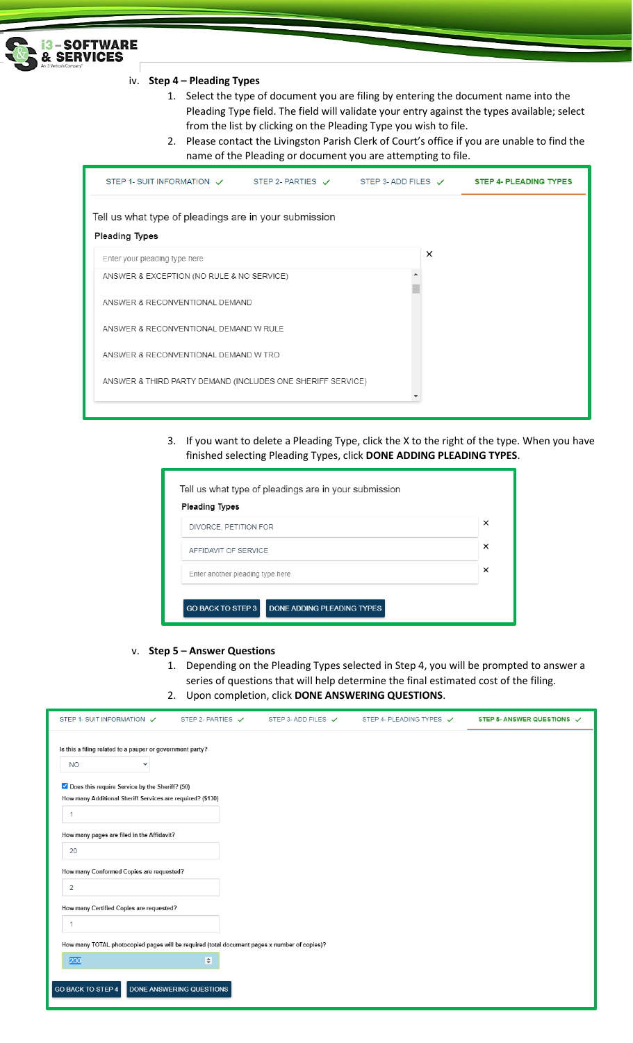

## iv. **Step 4 – Pleading Types**

- 1. Select the type of document you are filing by entering the document name into the Pleading Type field. The field will validate your entry against the types available; select from the list by clicking on the Pleading Type you wish to file.
- 2. Please contact the Livingston Parish Clerk of Court's office if you are unable to find the name of the Pleading or document you are attempting to file.

| STEP 1- SUIT INFORMATION $\checkmark$ STEP 2- PARTIES $\checkmark$ STEP 3- ADD FILES $\checkmark$ |  |          | <b>STEP 4- PLEADING TYPES</b> |
|---------------------------------------------------------------------------------------------------|--|----------|-------------------------------|
| Tell us what type of pleadings are in your submission                                             |  |          |                               |
| <b>Pleading Types</b>                                                                             |  |          |                               |
| Enter your pleading type here                                                                     |  | $\times$ |                               |
| ANSWER & EXCEPTION (NO RULE & NO SERVICE)                                                         |  |          |                               |
| ANSWER & RECONVENTIONAL DEMAND                                                                    |  |          |                               |
| ANSWER & RECONVENTIONAL DEMAND W RULE                                                             |  |          |                               |
| ANSWER & RECONVENTIONAL DEMAND W TRO                                                              |  |          |                               |
| ANSWER & THIRD PARTY DEMAND (INCLUDES ONE SHERIFF SERVICE)                                        |  |          |                               |
|                                                                                                   |  |          |                               |

3. If you want to delete a Pleading Type, click the X to the right of the type. When you have finished selecting Pleading Types, click **DONE ADDING PLEADING TYPES**.

| <b>Pleading Types</b>            | × |  |  |  |  |  |
|----------------------------------|---|--|--|--|--|--|
| DIVORCE, PETITION FOR            |   |  |  |  |  |  |
| AFFIDAVIT OF SERVICE             |   |  |  |  |  |  |
| Enter another pleading type here | × |  |  |  |  |  |

v. **Step 5 – Answer Questions** 

- 1. Depending on the Pleading Types selected in Step 4, you will be prompted to answer a series of questions that will help determine the final estimated cost of the filing.
- 2. Upon completion, click **DONE ANSWERING QUESTIONS**.

| STEP 1- SUIT INFORMATION V                                                                   | STEP 2- PARTIES $\checkmark$ | STEP 3-ADD FILES ✔ | STEP 4- PLEADING TYPES V | STEP 5- ANSWER QUESTIONS V |
|----------------------------------------------------------------------------------------------|------------------------------|--------------------|--------------------------|----------------------------|
| Is this a filing related to a pauper or government party?                                    |                              |                    |                          |                            |
| <b>NO</b><br>$\checkmark$                                                                    |                              |                    |                          |                            |
| O Does this require Service by the Sheriff? (50)                                             |                              |                    |                          |                            |
| How many Additional Sheriff Services are required? (\$130)                                   |                              |                    |                          |                            |
| -1                                                                                           |                              |                    |                          |                            |
| How many pages are filed in the Affidavit?                                                   |                              |                    |                          |                            |
| 20                                                                                           |                              |                    |                          |                            |
| How many Conformed Copies are requested?                                                     |                              |                    |                          |                            |
| 2                                                                                            |                              |                    |                          |                            |
| How many Certified Copies are requested?                                                     |                              |                    |                          |                            |
| -1                                                                                           |                              |                    |                          |                            |
| How many TOTAL photocopied pages will be required (total document pages x number of copies)? |                              |                    |                          |                            |
| 200                                                                                          | $\Rightarrow$                |                    |                          |                            |
|                                                                                              |                              |                    |                          |                            |
| GO BACK TO STEP 4                                                                            | DONE ANSWERING QUESTIONS     |                    |                          |                            |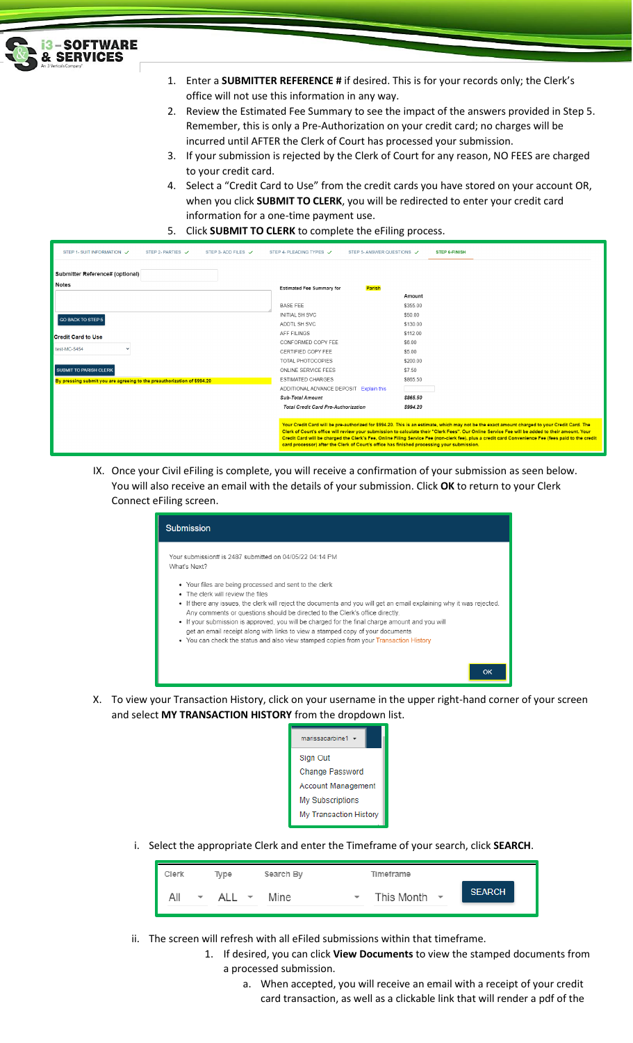

- 1. Enter a **SUBMITTER REFERENCE #** if desired. This is for your records only; the Clerk's office will not use this information in any way.
- 2. Review the Estimated Fee Summary to see the impact of the answers provided in Step 5. Remember, this is only a Pre-Authorization on your credit card; no charges will be incurred until AFTER the Clerk of Court has processed your submission.
- 3. If your submission is rejected by the Clerk of Court for any reason, NO FEES are charged to your credit card.
- 4. Select a "Credit Card to Use" from the credit cards you have stored on your account OR, when you click **SUBMIT TO CLERK**, you will be redirected to enter your credit card information for a one-time payment use.
- 5. Click **SUBMIT TO CLERK** to complete the eFiling process.

| STEP 1- SUIT INFORMATION V<br>STEP 2- PARTIES V<br>STEP 3-ADD FILES V   | STEP 4- PLEADING TYPES V<br>STEP 5-ANSWER QUESTIONS V                                                                                                                                                                                                                                                                                                                                                                                                                                                                                                 | <b>STEP 6-FINISH</b> |  |  |  |  |
|-------------------------------------------------------------------------|-------------------------------------------------------------------------------------------------------------------------------------------------------------------------------------------------------------------------------------------------------------------------------------------------------------------------------------------------------------------------------------------------------------------------------------------------------------------------------------------------------------------------------------------------------|----------------------|--|--|--|--|
| Submitter Reference# (optional)                                         |                                                                                                                                                                                                                                                                                                                                                                                                                                                                                                                                                       |                      |  |  |  |  |
| <b>Notes</b>                                                            | Parish<br><b>Estimated Fee Summary for</b>                                                                                                                                                                                                                                                                                                                                                                                                                                                                                                            |                      |  |  |  |  |
|                                                                         |                                                                                                                                                                                                                                                                                                                                                                                                                                                                                                                                                       | Amount               |  |  |  |  |
|                                                                         | <b>BASE FEE</b>                                                                                                                                                                                                                                                                                                                                                                                                                                                                                                                                       | \$355.00             |  |  |  |  |
| GO BACK TO STEP 5                                                       | <b>INITIAL SH SVC</b>                                                                                                                                                                                                                                                                                                                                                                                                                                                                                                                                 | \$50.00              |  |  |  |  |
|                                                                         | ADDTL SH SVC                                                                                                                                                                                                                                                                                                                                                                                                                                                                                                                                          | \$130.00             |  |  |  |  |
| <b>Credit Card to Use</b>                                               | AFF FILINGS                                                                                                                                                                                                                                                                                                                                                                                                                                                                                                                                           | \$112.00             |  |  |  |  |
|                                                                         | CONFORMED COPY FEE                                                                                                                                                                                                                                                                                                                                                                                                                                                                                                                                    | \$6.00               |  |  |  |  |
| test-MC-5454                                                            | CERTIFIED COPY FEE                                                                                                                                                                                                                                                                                                                                                                                                                                                                                                                                    | \$5.00               |  |  |  |  |
|                                                                         | TOTAL PHOTOCOPIES                                                                                                                                                                                                                                                                                                                                                                                                                                                                                                                                     | \$200.00             |  |  |  |  |
| <b>SUBMIT TO PARISH CLERK</b>                                           | ONLINE SERVICE FEES                                                                                                                                                                                                                                                                                                                                                                                                                                                                                                                                   | \$7.50               |  |  |  |  |
| By pressing submit you are agreeing to the preauthorization of \$994.20 | <b>ESTIMATED CHARGES</b>                                                                                                                                                                                                                                                                                                                                                                                                                                                                                                                              | \$865.50             |  |  |  |  |
|                                                                         | ADDITIONAL ADVANCE DEPOSIT Explain this                                                                                                                                                                                                                                                                                                                                                                                                                                                                                                               |                      |  |  |  |  |
|                                                                         | <b>Sub-Total Amount</b>                                                                                                                                                                                                                                                                                                                                                                                                                                                                                                                               | \$865.50             |  |  |  |  |
|                                                                         | <b>Total Credit Card Pre-Authorization</b>                                                                                                                                                                                                                                                                                                                                                                                                                                                                                                            | \$994.20             |  |  |  |  |
|                                                                         | Your Credit Card will be pre-authorized for \$994.20. This is an estimate, which may not be the exact amount charged to your Credit Card. The<br>Clerk of Court's office will review your submission to calculate their "Clerk Fees". Our Online Service Fee will be added to their amount. Your<br>Credit Card will be charged the Clerk's Fee, Online Filing Service Fee (non-clerk fee), plus a credit card Convenience Fee (fees paid to the credit<br>card processor) after the Clerk of Court's office has finished processing your submission. |                      |  |  |  |  |

IX. Once your Civil eFiling is complete, you will receive a confirmation of your submission as seen below. You will also receive an email with the details of your submission. Click **OK** to return to your Clerk Connect eFiling screen.

| <b>Submission</b>                                                                                                                                                                                                                                                                                                                                                                                                                                                                                                                                                                |
|----------------------------------------------------------------------------------------------------------------------------------------------------------------------------------------------------------------------------------------------------------------------------------------------------------------------------------------------------------------------------------------------------------------------------------------------------------------------------------------------------------------------------------------------------------------------------------|
| Your submission# is 2487 submitted on 04/05/22 04:14 PM<br>What's Next?                                                                                                                                                                                                                                                                                                                                                                                                                                                                                                          |
| • Your files are being processed and sent to the clerk<br>• The clerk will review the files<br>• If there any issues, the clerk will reject the documents and you will get an email explaining why it was rejected.<br>Any comments or questions should be directed to the Clerk's office directly.<br>• If your submission is approved, you will be charged for the final charge amount and you will<br>get an email receipt along with links to view a stamped copy of your documents<br>• You can check the status and also view stamped copies from your Transaction History |
| OK                                                                                                                                                                                                                                                                                                                                                                                                                                                                                                                                                                               |

- X. To view your Transaction History, click on your username in the upper right-hand corner of your screen and select **MY TRANSACTION HISTORY** from the dropdown list.
	- marissacarbine1  $\star$ Sign Out Change Password **Account Management** My Subscriptions My Transaction History
	- i. Select the appropriate Clerk and enter the Timeframe of your search, click **SEARCH**.

| Clerk                           | Type     | Search By                       | Timeframe         |               |
|---------------------------------|----------|---------------------------------|-------------------|---------------|
| All<br>$\overline{\phantom{a}}$ | ALL<br>▼ | Mine<br>$\overline{\mathbf{v}}$ | This Month $\sim$ | <b>SEARCH</b> |

- ii. The screen will refresh with all eFiled submissions within that timeframe.
	- 1. If desired, you can click **View Documents** to view the stamped documents from a processed submission.
		- a. When accepted, you will receive an email with a receipt of your credit card transaction, as well as a clickable link that will render a pdf of the